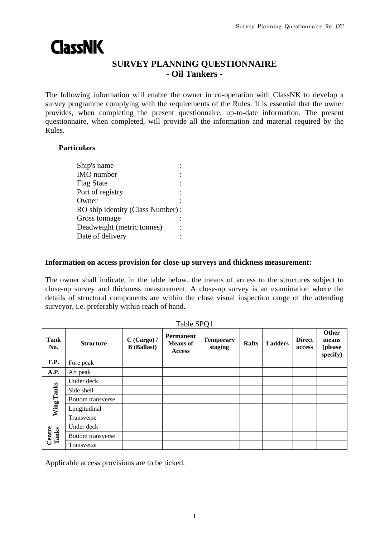# **ClassNK**

## **SURVEY PLANNING QUESTIONNAIRE - Oil Tankers -**

The following information will enable the owner in co-operation with ClassNK to develop a survey programme complying with the requirements of the Rules. It is essential that the owner provides, when completing the present questionnaire, up-to-date information. The present questionnaire, when completed, will provide all the information and material required by the Rules.

### **Particulars**

| Ship's name                      |  |
|----------------------------------|--|
| <b>IMO</b> number                |  |
| <b>Flag State</b>                |  |
| Port of registry                 |  |
| Owner                            |  |
| RO ship identity (Class Number): |  |
| Gross tonnage                    |  |
| Deadweight (metric tonnes)       |  |
| Date of delivery                 |  |
|                                  |  |

#### **Information on access provision for close-up surveys and thickness measurement:**

The owner shall indicate, in the table below, the means of access to the structures subject to close-up survey and thickness measurement. A close-up survey is an examination where the details of structural components are within the close visual inspection range of the attending surveyor, i.e. preferably within reach of hand.

| Table SPQ1      |                          |                                     |                                                      |                             |              |                |                         |                                       |
|-----------------|--------------------------|-------------------------------------|------------------------------------------------------|-----------------------------|--------------|----------------|-------------------------|---------------------------------------|
| Tank<br>No.     | <b>Structure</b>         | $C$ (Cargo) /<br><b>B</b> (Ballast) | <b>Permanent</b><br><b>Means</b> of<br><b>Access</b> | <b>Temporary</b><br>staging | <b>Rafts</b> | <b>Ladders</b> | <b>Direct</b><br>access | Other<br>means<br>(please<br>specify) |
| F.P.            | Fore peak                |                                     |                                                      |                             |              |                |                         |                                       |
| A.P.            | Aft peak                 |                                     |                                                      |                             |              |                |                         |                                       |
| Wing Tanks      | Under deck               |                                     |                                                      |                             |              |                |                         |                                       |
|                 | Side shell               |                                     |                                                      |                             |              |                |                         |                                       |
|                 | Bottom transverse        |                                     |                                                      |                             |              |                |                         |                                       |
|                 | Longitudinal             |                                     |                                                      |                             |              |                |                         |                                       |
|                 | Transverse               |                                     |                                                      |                             |              |                |                         |                                       |
| Centre<br>Tanks | Under deck               |                                     |                                                      |                             |              |                |                         |                                       |
|                 | <b>Bottom</b> transverse |                                     |                                                      |                             |              |                |                         |                                       |
|                 | Transverse               |                                     |                                                      |                             |              |                |                         |                                       |

Applicable access provisions are to be ticked.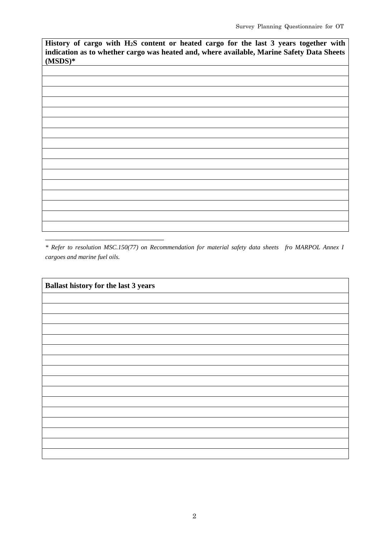**History of cargo with H2S content or heated cargo for the last 3 years together with indication as to whether cargo was heated and, where available, Marine Safety Data Sheets (MSDS)\***

*\* Refer to resolution MSC.150(77) on Recommendation for material safety data sheets fro MARPOL Annex I cargoes and marine fuel oils.*

\_\_\_\_\_\_\_\_\_\_\_\_\_\_\_\_\_\_\_\_\_\_\_\_\_\_\_\_\_\_\_

| <b>Ballast history for the last 3 years</b> |  |
|---------------------------------------------|--|
|                                             |  |
|                                             |  |
|                                             |  |
|                                             |  |
|                                             |  |
|                                             |  |
|                                             |  |
|                                             |  |
|                                             |  |
|                                             |  |
|                                             |  |
|                                             |  |
|                                             |  |
|                                             |  |
|                                             |  |
|                                             |  |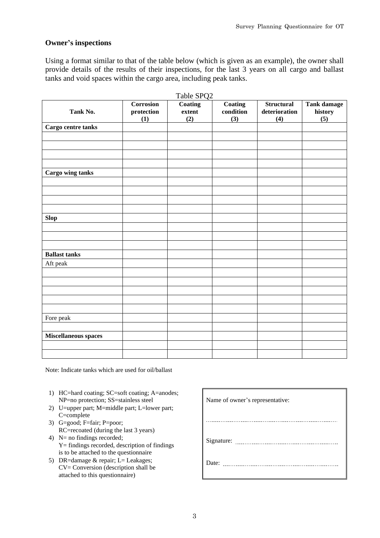#### **Owner's inspections**

Using a format similar to that of the table below (which is given as an example), the owner shall provide details of the results of their inspections, for the last 3 years on all cargo and ballast tanks and void spaces within the cargo area, including peak tanks.

| Tank No.             | Corrosion<br>protection | <b>Coating</b><br>extent | Coating<br>condition | <b>Structural</b><br>deterioration | Tank damage<br>history |
|----------------------|-------------------------|--------------------------|----------------------|------------------------------------|------------------------|
|                      | (1)                     | (2)                      | (3)                  | (4)                                | (5)                    |
| Cargo centre tanks   |                         |                          |                      |                                    |                        |
|                      |                         |                          |                      |                                    |                        |
|                      |                         |                          |                      |                                    |                        |
|                      |                         |                          |                      |                                    |                        |
|                      |                         |                          |                      |                                    |                        |
| Cargo wing tanks     |                         |                          |                      |                                    |                        |
|                      |                         |                          |                      |                                    |                        |
|                      |                         |                          |                      |                                    |                        |
|                      |                         |                          |                      |                                    |                        |
|                      |                         |                          |                      |                                    |                        |
| <b>Slop</b>          |                         |                          |                      |                                    |                        |
|                      |                         |                          |                      |                                    |                        |
|                      |                         |                          |                      |                                    |                        |
|                      |                         |                          |                      |                                    |                        |
| <b>Ballast tanks</b> |                         |                          |                      |                                    |                        |
| Aft peak             |                         |                          |                      |                                    |                        |
|                      |                         |                          |                      |                                    |                        |
|                      |                         |                          |                      |                                    |                        |
|                      |                         |                          |                      |                                    |                        |
|                      |                         |                          |                      |                                    |                        |
|                      |                         |                          |                      |                                    |                        |
| Fore peak            |                         |                          |                      |                                    |                        |
|                      |                         |                          |                      |                                    |                        |
| Miscellaneous spaces |                         |                          |                      |                                    |                        |
|                      |                         |                          |                      |                                    |                        |
|                      |                         |                          |                      |                                    |                        |

Note: Indicate tanks which are used for oil/ballast

- 1) HC=hard coating; SC=soft coating; A=anodes; NP=no protection; SS=stainless steel
- 2) U=upper part; M=middle part; L=lower part; C=complete
- 3) G=good; F=fair; P=poor; RC=recoated (during the last 3 years)
- 4) N= no findings recorded; Y= findings recorded, description of findings is to be attached to the questionnaire
- 5) DR=damage & repair; L= Leakages; CV= Conversion (description shall be attached to this questionnaire)

| Name of owner's representative:        |
|----------------------------------------|
| -------------------------------------- |
|                                        |
|                                        |